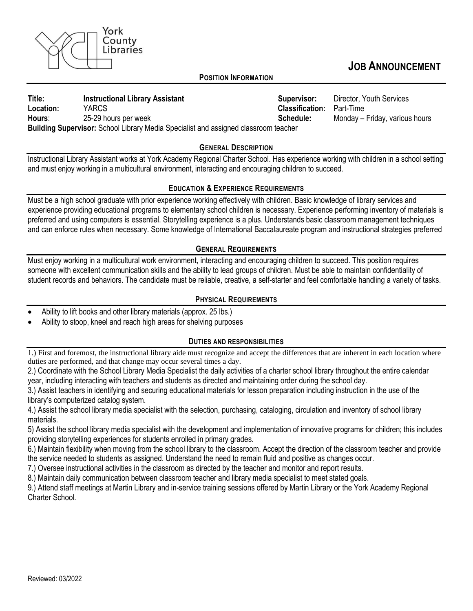

# **JOB ANNOUNCEMENT**

#### **POSITION INFORMATION**

**Title:** Instructional Library Assistant **Supervisor:** Director, Youth Services **Location:** YARCS **Classification:** Part-Time Hours: 25-29 hours per week and the state of the Schedule: Monday – Friday, various hours **Building Supervisor:** School Library Media Specialist and assigned classroom teacher

#### **GENERAL DESCRIPTION**

Instructional Library Assistant works at York Academy Regional Charter School. Has experience working with children in a school setting and must enjoy working in a multicultural environment, interacting and encouraging children to succeed.

# **EDUCATION & EXPERIENCE REQUIREMENTS**

Must be a high school graduate with prior experience working effectively with children. Basic knowledge of library services and experience providing educational programs to elementary school children is necessary. Experience performing inventory of materials is preferred and using computers is essential. Storytelling experience is a plus. Understands basic classroom management techniques and can enforce rules when necessary. Some knowledge of International Baccalaureate program and instructional strategies preferred

# **GENERAL REQUIREMENTS**

Must enjoy working in a multicultural work environment, interacting and encouraging children to succeed. This position requires someone with excellent communication skills and the ability to lead groups of children. Must be able to maintain confidentiality of student records and behaviors. The candidate must be reliable, creative, a self-starter and feel comfortable handling a variety of tasks.

# **PHYSICAL REQUIREMENTS**

- Ability to lift books and other library materials (approx. 25 lbs.)
- Ability to stoop, kneel and reach high areas for shelving purposes

# **DUTIES AND RESPONSIBILITIES**

1.) First and foremost, the instructional library aide must recognize and accept the differences that are inherent in each location where duties are performed, and that change may occur several times a day.

2.) Coordinate with the School Library Media Specialist the daily activities of a charter school library throughout the entire calendar year, including interacting with teachers and students as directed and maintaining order during the school day.

3.) Assist teachers in identifying and securing educational materials for lesson preparation including instruction in the use of the library's computerized catalog system.

4.) Assist the school library media specialist with the selection, purchasing, cataloging, circulation and inventory of school library materials.

5) Assist the school library media specialist with the development and implementation of innovative programs for children; this includes providing storytelling experiences for students enrolled in primary grades.

6.) Maintain flexibility when moving from the school library to the classroom. Accept the direction of the classroom teacher and provide the service needed to students as assigned. Understand the need to remain fluid and positive as changes occur.

7.) Oversee instructional activities in the classroom as directed by the teacher and monitor and report results.

8.) Maintain daily communication between classroom teacher and library media specialist to meet stated goals.

9.) Attend staff meetings at Martin Library and in-service training sessions offered by Martin Library or the York Academy Regional Charter School.